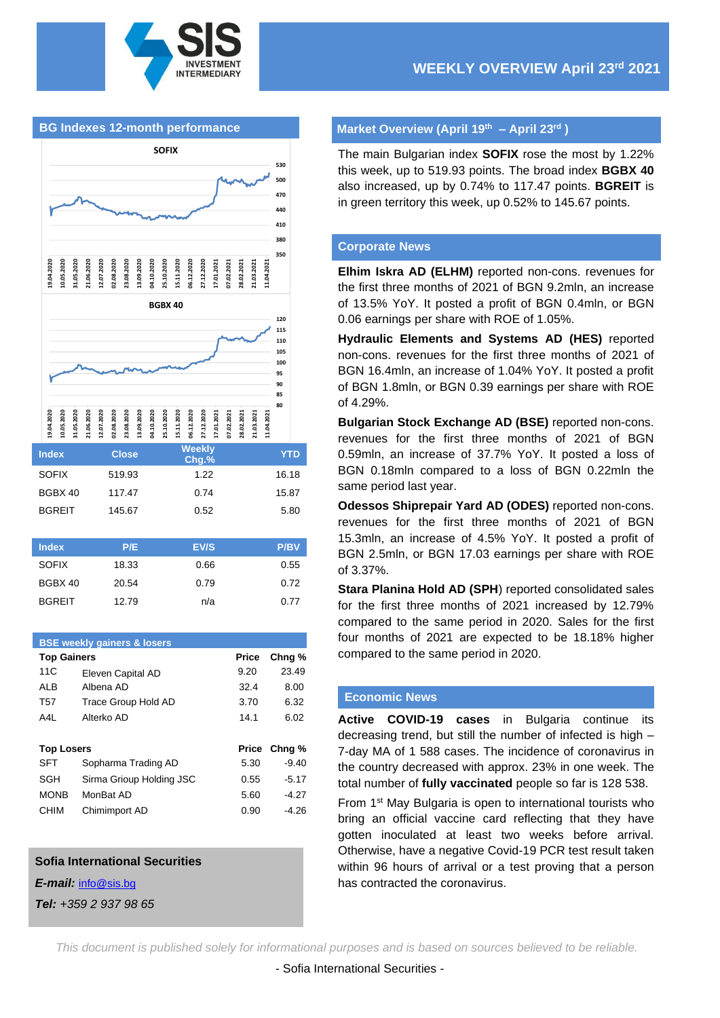

### **BG Indexes 12-month performance**



| <b>Index</b>  | <b>Close</b> | <b>Weekly</b><br>Chg.% | YTD         |
|---------------|--------------|------------------------|-------------|
| <b>SOFIX</b>  | 519.93       | 1.22                   | 16.18       |
| BGBX 40       | 117.47       | 0.74                   | 15.87       |
| <b>BGREIT</b> | 145.67       | 0.52                   | 5.80        |
|               |              |                        |             |
| <b>Index</b>  | P/E          | EV/S                   | <b>P/BV</b> |
|               |              |                        |             |

| <b>SOFIX</b>  | 18.33 | 0.66 | 0.55 |
|---------------|-------|------|------|
| BGBX 40       | 20.54 | 0.79 | 0.72 |
| <b>BGREIT</b> | 12.79 | n/a  | 0.77 |
|               |       |      |      |

| <b>BSE weekly gainers &amp; losers</b> |                 |                          |              |                   |  |  |  |  |
|----------------------------------------|-----------------|--------------------------|--------------|-------------------|--|--|--|--|
| <b>Top Gainers</b>                     |                 |                          | Price        | Chng <sub>%</sub> |  |  |  |  |
|                                        | 11C             | Eleven Capital AD        | 9.20         | 23.49             |  |  |  |  |
|                                        | <b>ALB</b>      | Albena AD                | 32.4         | 8.00              |  |  |  |  |
|                                        | T <sub>57</sub> | Trace Group Hold AD      | 3.70         | 6.32              |  |  |  |  |
|                                        | A4L             | Alterko AD               | 14.1         | 6.02              |  |  |  |  |
|                                        |                 |                          |              |                   |  |  |  |  |
| <b>Top Losers</b>                      |                 |                          |              |                   |  |  |  |  |
|                                        |                 |                          | <b>Price</b> | Chng %            |  |  |  |  |
|                                        | <b>SFT</b>      | Sopharma Trading AD      | 5.30         | $-9.40$           |  |  |  |  |
|                                        | SGH             | Sirma Grioup Holding JSC | 0.55         | $-5.17$           |  |  |  |  |
|                                        | <b>MONB</b>     | MonBat AD                | 5.60         | $-4.27$           |  |  |  |  |
|                                        | <b>CHIM</b>     | Chimimport AD            | 0.90         | $-4.26$           |  |  |  |  |

#### **Sofia International Securities**

*E-mail:* [info@sis.bg](mailto:info@sis.bg)

*Tel: +359 2 937 98 65*

### **Market Overview (April 19th – April 23rd )**

The main Bulgarian index **SOFIX** rose the most by 1.22% this week, up to 519.93 points. The broad index **BGBX 40** also increased, up by 0.74% to 117.47 points. **BGREIT** is in green territory this week, up 0.52% to 145.67 points.

#### **Corporate News**

**Elhim Iskra AD (ELHM)** reported non-cons. revenues for the first three months of 2021 of BGN 9.2mln, an increase of 13.5% YoY. It posted a profit of BGN 0.4mln, or BGN 0.06 earnings per share with ROE of 1.05%.

**Hydraulic Elements and Systems AD (HES)** reported non-cons. revenues for the first three months of 2021 of BGN 16.4mln, an increase of 1.04% YoY. It posted a profit of BGN 1.8mln, or BGN 0.39 earnings per share with ROE of 4.29%.

**Bulgarian Stock Exchange AD (BSE)** reported non-cons. revenues for the first three months of 2021 of BGN 0.59mln, an increase of 37.7% YoY. It posted a loss of BGN 0.18mln compared to a loss of BGN 0.22mln the same period last year.

**Odessos Shiprepair Yard AD (ODES)** reported non-cons. revenues for the first three months of 2021 of BGN 15.3mln, an increase of 4.5% YoY. It posted a profit of BGN 2.5mln, or BGN 17.03 earnings per share with ROE of 3.37%.

**Stara Planina Hold AD (SPH**) reported consolidated sales for the first three months of 2021 increased by 12.79% compared to the same period in 2020. Sales for the first four months of 2021 are expected to be 18.18% higher compared to the same period in 2020.

### **Economic News**

**Active COVID-19 cases** in Bulgaria continue its decreasing trend, but still the number of infected is high – 7-day MA of 1 588 cases. The incidence of coronavirus in the country decreased with approx. 23% in one week. The total number of **fully vaccinated** people so far is 128 538.

From 1st May Bulgaria is open to international tourists who bring an official vaccine card reflecting that they have gotten inoculated at least two weeks before arrival. Otherwise, have a negative Covid-19 PCR test result taken within 96 hours of arrival or a test proving that a person has contracted the coronavirus.

*This document is published solely for informational purposes and is based on sources believed to be reliable.*